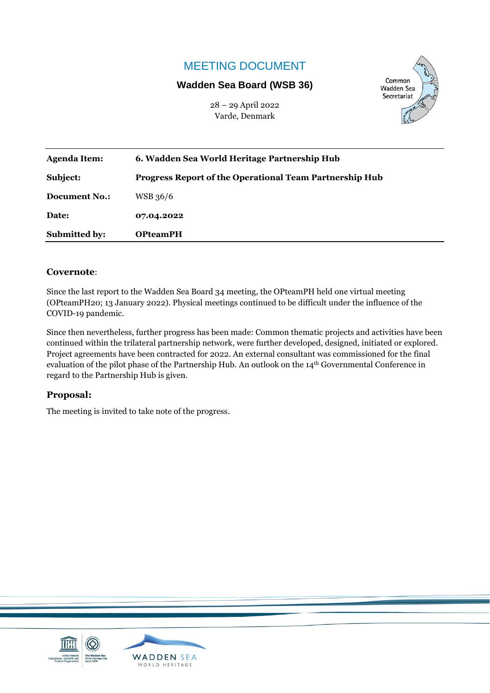# MEETING DOCUMENT

## **Wadden Sea Board (WSB 36)**

28 – 29 April 2022 Varde, Denmark



| <b>Agenda Item:</b>  | 6. Wadden Sea World Heritage Partnership Hub                   |
|----------------------|----------------------------------------------------------------|
| Subject:             | <b>Progress Report of the Operational Team Partnership Hub</b> |
| <b>Document No.:</b> | WSB 36/6                                                       |
| Date:                | 07.04.2022                                                     |
| <b>Submitted by:</b> | <b>OPteamPH</b>                                                |

#### **Covernote**:

Since the last report to the Wadden Sea Board 34 meeting, the OPteamPH held one virtual meeting (OPteamPH20; 13 January 2022). Physical meetings continued to be difficult under the influence of the COVID-19 pandemic.

Since then nevertheless, further progress has been made: Common thematic projects and activities have been continued within the trilateral partnership network, were further developed, designed, initiated or explored. Project agreements have been contracted for 2022. An external consultant was commissioned for the final evaluation of the pilot phase of the Partnership Hub. An outlook on the 14th Governmental Conference in regard to the Partnership Hub is given.

#### **Proposal:**

The meeting is invited to take note of the progress.

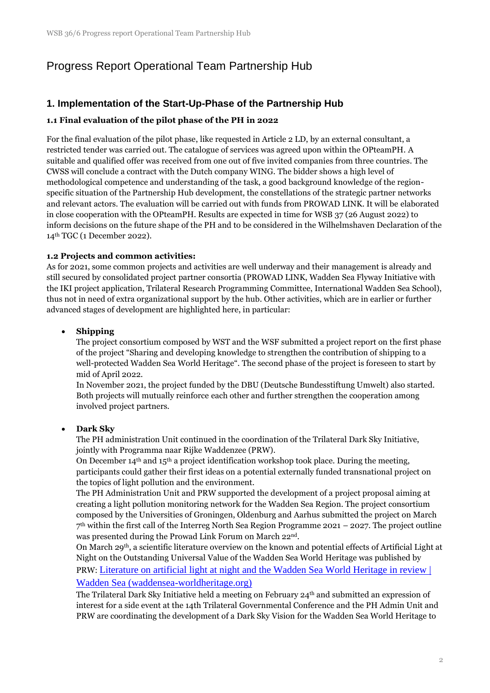# Progress Report Operational Team Partnership Hub

# **1. Implementation of the Start-Up-Phase of the Partnership Hub**

#### **1.1 Final evaluation of the pilot phase of the PH in 2022**

For the final evaluation of the pilot phase, like requested in Article 2 LD, by an external consultant, a restricted tender was carried out. The catalogue of services was agreed upon within the OPteamPH. A suitable and qualified offer was received from one out of five invited companies from three countries. The CWSS will conclude a contract with the Dutch company WING. The bidder shows a high level of methodological competence and understanding of the task, a good background knowledge of the regionspecific situation of the Partnership Hub development, the constellations of the strategic partner networks and relevant actors. The evaluation will be carried out with funds from PROWAD LINK. It will be elaborated in close cooperation with the OPteamPH. Results are expected in time for WSB 37 (26 August 2022) to inform decisions on the future shape of the PH and to be considered in the Wilhelmshaven Declaration of the 14th TGC (1 December 2022).

#### **1.2 Projects and common activities:**

As for 2021, some common projects and activities are well underway and their management is already and still secured by consolidated project partner consortia (PROWAD LINK, Wadden Sea Flyway Initiative with the IKI project application, Trilateral Research Programming Committee, International Wadden Sea School), thus not in need of extra organizational support by the hub. Other activities, which are in earlier or further advanced stages of development are highlighted here, in particular:

#### • **Shipping**

The project consortium composed by WST and the WSF submitted a project report on the first phase of the project "Sharing and developing knowledge to strengthen the contribution of shipping to a well-protected Wadden Sea World Heritage". The second phase of the project is foreseen to start by mid of April 2022.

In November 2021, the project funded by the DBU (Deutsche Bundesstiftung Umwelt) also started. Both projects will mutually reinforce each other and further strengthen the cooperation among involved project partners.

#### • **Dark Sky**

The PH administration Unit continued in the coordination of the Trilateral Dark Sky Initiative, jointly with Programma naar Rijke Waddenzee (PRW).

On December  $14<sup>th</sup>$  and  $15<sup>th</sup>$  a project identification workshop took place. During the meeting, participants could gather their first ideas on a potential externally funded transnational project on the topics of light pollution and the environment.

The PH Administration Unit and PRW supported the development of a project proposal aiming at creating a light pollution monitoring network for the Wadden Sea Region. The project consortium composed by the Universities of Groningen, Oldenburg and Aarhus submitted the project on March 7 th within the first call of the Interreg North Sea Region Programme 2021 – 2027. The project outline was presented during the Prowad Link Forum on March 22nd.

On March 29th, a scientific literature overview on the known and potential effects of Artificial Light at Night on the Outstanding Universal Value of the Wadden Sea World Heritage was published by PRW: [Literature on artificial light at night and the Wadden Sea World Heritage in review |](https://www.waddensea-worldheritage.org/news/literature-artificial-light-night-and-wadden-sea-world-heritage-review)  [Wadden Sea \(waddensea-worldheritage.org\)](https://www.waddensea-worldheritage.org/news/literature-artificial-light-night-and-wadden-sea-world-heritage-review)

The Trilateral Dark Sky Initiative held a meeting on February 24th and submitted an expression of interest for a side event at the 14th Trilateral Governmental Conference and the PH Admin Unit and PRW are coordinating the development of a Dark Sky Vision for the Wadden Sea World Heritage to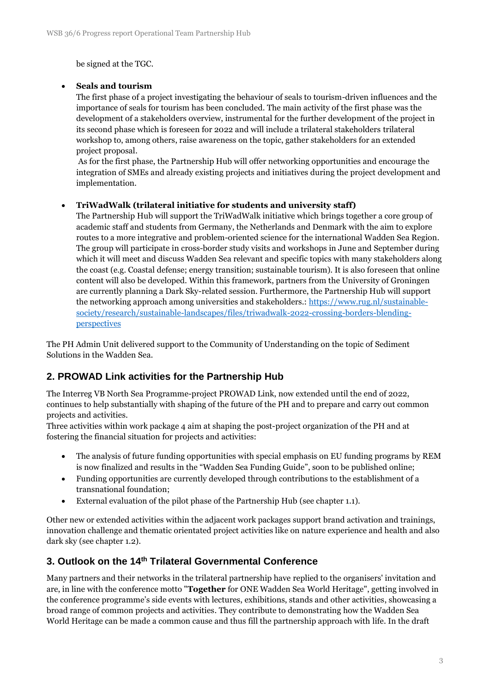be signed at the TGC.

#### • **Seals and tourism**

The first phase of a project investigating the behaviour of seals to tourism-driven influences and the importance of seals for tourism has been concluded. The main activity of the first phase was the development of a stakeholders overview, instrumental for the further development of the project in its second phase which is foreseen for 2022 and will include a trilateral stakeholders trilateral workshop to, among others, raise awareness on the topic, gather stakeholders for an extended project proposal.

As for the first phase, the Partnership Hub will offer networking opportunities and encourage the integration of SMEs and already existing projects and initiatives during the project development and implementation.

#### • **TriWadWalk (trilateral initiative for students and university staff)**

The Partnership Hub will support the TriWadWalk initiative which brings together a core group of academic staff and students from Germany, the Netherlands and Denmark with the aim to explore routes to a more integrative and problem-oriented science for the international Wadden Sea Region. The group will participate in cross-border study visits and workshops in June and September during which it will meet and discuss Wadden Sea relevant and specific topics with many stakeholders along the coast (e.g. Coastal defense; energy transition; sustainable tourism). It is also foreseen that online content will also be developed. Within this framework, partners from the University of Groningen are currently planning a Dark Sky-related session. Furthermore, the Partnership Hub will support the networking approach among universities and stakeholders.: [https://www.rug.nl/sustainable](https://www.rug.nl/sustainable-society/research/sustainable-landscapes/files/triwadwalk-2022-crossing-borders-blending-perspectives)[society/research/sustainable-landscapes/files/triwadwalk-2022-crossing-borders-blending](https://www.rug.nl/sustainable-society/research/sustainable-landscapes/files/triwadwalk-2022-crossing-borders-blending-perspectives)[perspectives](https://www.rug.nl/sustainable-society/research/sustainable-landscapes/files/triwadwalk-2022-crossing-borders-blending-perspectives)

The PH Admin Unit delivered support to the Community of Understanding on the topic of Sediment Solutions in the Wadden Sea.

### **2. PROWAD Link activities for the Partnership Hub**

The Interreg VB North Sea Programme-project PROWAD Link, now extended until the end of 2022, continues to help substantially with shaping of the future of the PH and to prepare and carry out common projects and activities.

Three activities within work package 4 aim at shaping the post-project organization of the PH and at fostering the financial situation for projects and activities:

- The analysis of future funding opportunities with special emphasis on EU funding programs by REM is now finalized and results in the "Wadden Sea Funding Guide", soon to be published online;
- Funding opportunities are currently developed through contributions to the establishment of a transnational foundation;
- External evaluation of the pilot phase of the Partnership Hub (see chapter 1.1).

Other new or extended activities within the adjacent work packages support brand activation and trainings, innovation challenge and thematic orientated project activities like on nature experience and health and also dark sky (see chapter 1.2).

### **3. Outlook on the 14th Trilateral Governmental Conference**

Many partners and their networks in the trilateral partnership have replied to the organisers' invitation and are, in line with the conference motto "**Together** for ONE Wadden Sea World Heritage", getting involved in the conference programme's side events with lectures, exhibitions, stands and other activities, showcasing a broad range of common projects and activities. They contribute to demonstrating how the Wadden Sea World Heritage can be made a common cause and thus fill the partnership approach with life. In the draft